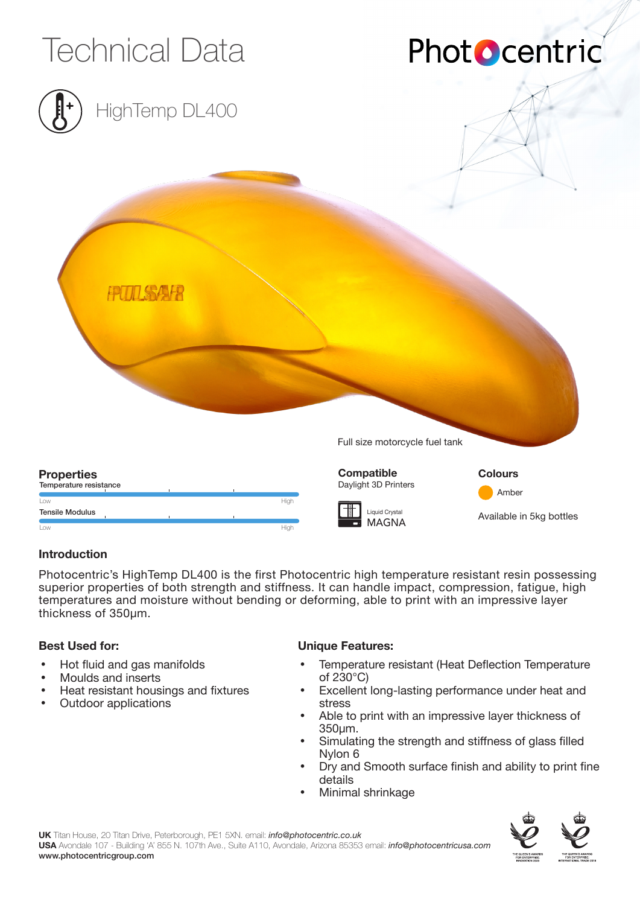

### **Introduction**

Photocentric's HighTemp DL400 is the first Photocentric high temperature resistant resin possessing superior properties of both strength and stiffness. It can handle impact, compression, fatigue, high temperatures and moisture without bending or deforming, able to print with an impressive layer thickness of 350µm.

### **Best Used for:**

- Hot fluid and gas manifolds
- Moulds and inserts
- Heat resistant housings and fixtures
- Outdoor applications

### **Unique Features:**

- Temperature resistant (Heat Deflection Temperature of 230°C)
- Excellent long-lasting performance under heat and stress
- Able to print with an impressive layer thickness of 350µm.
- Simulating the strength and stiffness of glass filled Nylon 6
- Dry and Smooth surface finish and ability to print fine details
- Minimal shrinkage